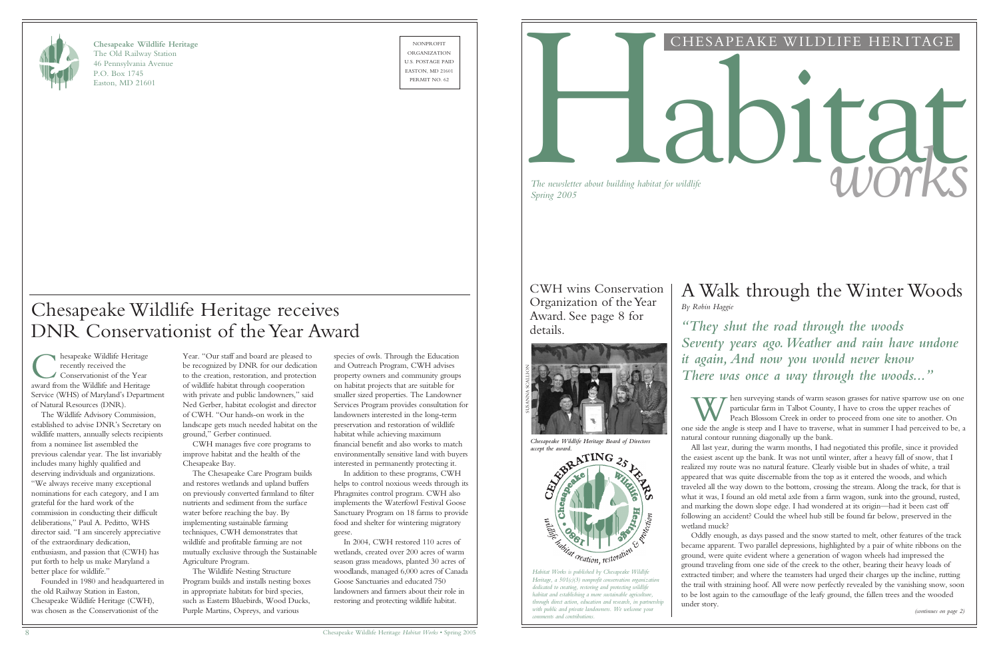species of owls. Through the Education and Outreach Program, CWH advises property owners and community groups on habitat projects that are suitable for smaller sized properties. The Landowner Services Program provides consultation for landowners interested in the long-term preservation and restoration of wildlife habitat while achieving maximum financial benefit and also works to match environmentally sensitive land with buyers interested in permanently protecting it.

In addition to these programs, CWH helps to control noxious weeds through its Phragmites control program. CWH also implements the Waterfowl Festival Goose Sanctuary Program on 18 farms to provide food and shelter for wintering migratory geese.

In 2004, CWH restored 110 acres of wetlands, created over 200 acres of warm season grass meadows, planted 30 acres of woodlands, managed 6,000 acres of Canada Goose Sanctuaries and educated 750 landowners and farmers about their role in restoring and protecting wildlife habitat.

W hen surveying stands of warm season grasses for native sparrow use on one particular farm in Talbot County, I have to cross the upper reaches of Peach Blossom Creek in order to proceed from one site to another. On one si hen surveying stands of warm season grasses for native sparrow use on one particular farm in Talbot County, I have to cross the upper reaches of Peach Blossom Creek in order to proceed from one site to another. On natural contour running diagonally up the bank.



**Chesapeake Wildlife Heritage** The Old Railway Station 46 Pennsylvania Avenue P.O. Box 1745 Easton, MD 21601

NONPROFIT ORGANIZATION U.S. POSTAGE PAID EASTON, MD 21601



#### CHESAPEAKE WILDLIFE HERITAGE

# *The newsletter about building habitat for wildlife*<br>Spring 2005

*The newsletter about building habitat for wildlife*

*(continues on page 2)*

CWH wins Conservation Organization of the Year Award. See page 8 for details.

All last year, during the warm months, I had negotiated this profile, since it provided

**C** hesapeake Wildlife Heritage<br>recently received the<br>award from the Wildlife and Heritage hesapeake Wildlife Heritage recently received the Conservationist of the Year Service (WHS) of Maryland's Department of Natural Resources (DNR).

> the easiest ascent up the bank. It was not until winter, after a heavy fall of snow, that I realized my route was no natural feature. Clearly visible but in shades of white, a trail appeared that was quite discernable from the top as it entered the woods, and which traveled all the way down to the bottom, crossing the stream. Along the track, for that is what it was, I found an old metal axle from a farm wagon, sunk into the ground, rusted, and marking the down slope edge. I had wondered at its origin—had it been cast off following an accident? Could the wheel hub still be found far below, preserved in the wetland muck?

Oddly enough, as days passed and the snow started to melt, other features of the track became apparent. Two parallel depressions, highlighted by a pair of white ribbons on the ground, were quite evident where a generation of wagon wheels had impressed the ground traveling from one side of the creek to the other, bearing their heavy loads of extracted timber; and where the teamsters had urged their charges up the incline, rutting the trail with straining hoof. All were now perfectly revealed by the vanishing snow, soon to be lost again to the camouflage of the leafy ground, the fallen trees and the wooded under story.

# A Walk through the Winter Woods

# *By Robin Haggie*

*"They shut the road through the woods Seventy years ago.Weather and rain have undone it again, And now you would never know There was once a way through the woods..."*

![](_page_0_Picture_17.jpeg)

*Chesapeake Wildlife Heritage Board of Directors*

*Heritage, a 501(c)(3) nonprofit conservation organization dedicated to creating, restoring and protecting wildlife habitat and establishing a more sustainable agriculture, through direct action, education and research, in partnership with public and private landowners. We welcome your comments and contributions.*

![](_page_0_Picture_19.jpeg)

The Wildlife Advisory Commission, established to advise DNR's Secretary on wildlife matters, annually selects recipients from a nominee list assembled the previous calendar year. The list invariably includes many highly qualified and deserving individuals and organizations. "We always receive many exceptional nominations for each category, and I am grateful for the hard work of the commission in conducting their difficult deliberations," Paul A. Peditto, WHS director said. "I am sincerely appreciative of the extraordinary dedication, enthusiasm, and passion that (CWH) has put forth to help us make Maryland a better place for wildlife."

Founded in 1980 and headquartered in the old Railway Station in Easton, Chesapeake Wildlife Heritage (CWH), was chosen as the Conservationist of the

# Chesapeake Wildlife Heritage receives DNR Conservationist of the Year Award

Year. "Our staff and board are pleased to be recognized by DNR for our dedication to the creation, restoration, and protection of wildlife habitat through cooperation with private and public landowners," said Ned Gerber, habitat ecologist and director of CWH. "Our hands-on work in the landscape gets much needed habitat on the ground," Gerber continued.

CWH manages five core programs to improve habitat and the health of the Chesapeake Bay.

The Chesapeake Care Program builds and restores wetlands and upland buffers on previously converted farmland to filter nutrients and sediment from the surface water before reaching the bay. By implementing sustainable farming techniques, CWH demonstrates that wildlife and profitable farming are not mutually exclusive through the Sustainable Agriculture Program.

The Wildlife Nesting Structure Program builds and installs nesting boxes in appropriate habitats for bird species, such as Eastern Bluebirds, Wood Ducks, Purple Martins, Ospreys, and various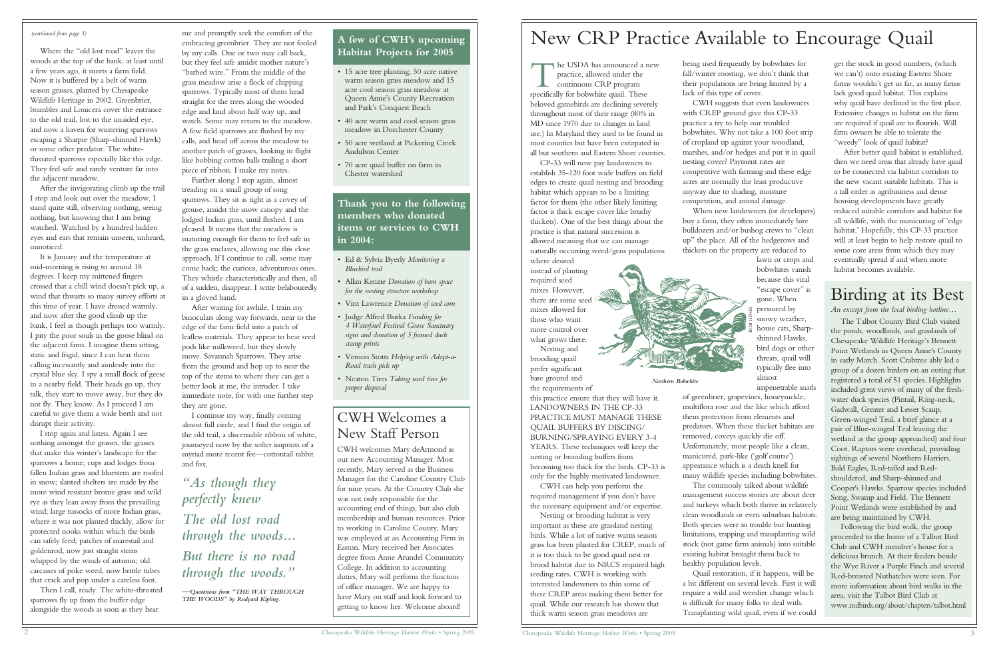# Birding at its Best

*An excerpt from the local birding hotline…*

The Talbot County Bird Club visited the ponds, woodlands, and grasslands of Chesapeake Wildlife Heritage's Bennett Point Wetlands in Queen Anne's County in early March. Scott Crabtree ably led a group of a dozen birders on an outing that registered a total of 51 species. Highlights included great views of many of the freshwater duck species (Pintail, Ring-neck, Gadwall, Greater and Lesser Scaup, Green-winged Teal, a brief glance at a pair of Blue-winged Teal leaving the wetland as the group approached) and four Coot. Raptors were overhead, providing sightings of several Northern Harriers, Bald Eagles, Red-tailed and Redshouldered, and Sharp-shinned and Cooper's Hawks. Sparrow species included Song, Swamp and Field. The Bennett Point Wetlands were established by and are being maintained by CWH.

Following the bird walk, the group proceeded to the home of a Talbot Bird Club and CWH member's house for a delicious brunch. At their feeders beside the Wye River a Purple Finch and several Red-breasted Nuthatches were seen. For more information about bird walks in the area, visit the Talbot Bird Club at www.mdbirds.org/about/chapters/talbot.html

# New CRP Practice Available to Encourage Quail

being used frequently by bobwhites for fall/winter roosting, we don't think that their populations are being limited by a lack of this type of cover.

CWH suggests that even landowners with CREP ground give this CP-33 practice a try to help our troubled bobwhites. Why not take a 100 foot strip of cropland up against your woodland, marshes, and/or hedges and put it in quail nesting cover? Payment rates are competitive with farming and these edge acres are normally the least productive anyway due to shading, moisture competition, and animal damage. When new landowners (or developers)

The USDA has announced a new<br>practice, allowed under the<br>continuous CRP program<br>specifically for bobwhite quail. These practice, allowed under the continuous CRP program specifically for bobwhite quail. These beloved gamebirds are declining severely throughout most of their range (80% in MD since 1970 due to changes in land use.) In Maryland they used to be found in most counties but have been extirpated in all but southern and Eastern Shore counties.

> buy a farm, they often immediately hire bulldozers and/or bushog crews to "clean up" the place. All of the hedgerows and thickets on the property are reduced to

> > lawn or crops and bobwhites vanish because this vital "escape cover" is gone. When pressured by snowy weather, house cats, Sharpshinned Hawks, bird dogs or other threats, quail will typically flee into almost

impenetrable snarls of greenbrier, grapevines, honeysuckle,

get the stock in good numbers, (which we can't) onto existing Eastern Shore farms wouldn't get us far, as many farms lack good quail habitat. This explains why quail have declined in the first place. Extensive changes in habitat on the farm are required if quail are to flourish. Will farm owners be able to tolerate the "weedy" look of quail habitat?

multiflora rose and the like which afford them protection from elements and predators. When these thicket habitats are removed, coveys quickly die off. Unfortunately, most people like a clean, manicured, park-like ('golf course') appearance which is a death knell for many wildlife species including bobwhites. The commonly talked about wildlife management success stories are about deer and turkeys which both thrive in relatively clean woodlands or even suburban habitats. Both species were in trouble but hunting limitations, trapping and transplanting wild stock (not game farm animals) into suitable existing habitat brought them back to

healthy population levels.

Quail restoration, if it happens, will be a bit different on several levels. First it will require a wild and weedier change which is difficult for many folks to deal with. Transplanting wild quail, even if we could

CP-33 will now pay landowners to establish 35-120 foot wide buffers on field edges to create quail nesting and brooding habitat which appears to be a limiting factor for them (the other likely limiting factor is thick escape cover like brushy thickets). One of the best things about the practice is that natural succession is allowed meaning that we can manage naturally occurring weed/grass populations

where desired instead of planting required seed mixes. However, there are some seed mixes allowed for those who want more control over what grows there.

Nesting and brooding quail prefer significant bare ground and the requirements of

this practice ensure that they will have it. LANDOWNERS IN THE CP-33 PRACTICE MUST MANAGE THESE QUAIL BUFFERS BY DISCING/ BURNING/SPRAYING EVERY 3-4 YEARS. These techniques will keep the nesting or brooding buffers from becoming too thick for the birds. CP-33 is only for the highly motivated landowner.

CWH can help you perform the required management if you don't have the necessary equipment and/or expertise.

Nesting or brooding habitat is very important as these are grassland nesting birds. While a lot of native warm season grass has been planted for CREP, much of it is too thick to be good quail nest or brood habitat due to NRCS required high seeding rates. CWH is working with interested landowners to thin some of these CREP areas making them better for quail. While our research has shown that thick warm season grass meadows are

After better quail habitat is established, then we need areas that already have quail to be connected via habitat corridors to the new vacant suitable habitats. This is a tall order as agribusiness and dense housing developments have greatly reduced suitable corridors and habitat for all wildlife, with the manicuring of 'edge habitat.' Hopefully, this CP-33 practice will at least begin to help restore quail to some core areas from which they may eventually spread if and when more habitat becomes available.

*Northern Bobwhite*

#### **A few of CWH's upcoming Habitat Projects for 2005**

- 15 acre tree planting, 50 acre native warm season grass meadow and 15 acre cool season grass meadow at Queen Anne's County Recreation and Park's Conquest Beach
- 40 acre warm and cool season grass meadow in Dorchester County
- 50 acre wetland at Pickering Creek Audubon Center
- 70 acre quail buffer on farm in Chester watershed

#### **Thank you to the following members who donated items or services to CWH in 2004:**

- Ed & Sylvia Byerly *Monitoring a Bluebird trail*
- Allan Kenzie *Donation of barn space for the nesting structure workshop*
- Vint Lawrence *Donation of seed corn*
- Judge Alfred Burka *Funding for 4 Waterfowl Festival Goose Sanctuary signs and donation of 5 framed duck stamp prints*
- Vernon Stotts *Helping with Adopt-a-Road trash pick up*
- Neaton Tires *Taking used tires for proper disposal*

#### *(continued from page 1)*

Where the "old lost road" leaves the woods at the top of the bank, at least until a few years ago, it meets a farm field. Now it is buffered by a belt of warm season grasses, planted by Chesapeake Wildlife Heritage in 2002. Greenbrier, brambles and Lonicera cover the entrance to the old trail, lost to the unaided eye, and now a haven for wintering sparrows escaping a Sharpie (Sharp-shinned Hawk) or some other predator. The whitethroated sparrows especially like this edge. They feel safe and rarely venture far into the adjacent meadow.

After the invigorating climb up the trail I stop and look out over the meadow. I stand quite still, observing nothing, seeing nothing, but knowing that I am being watched. Watched by a hundred hidden eyes and ears that remain unseen, unheard, unnoticed.

It is January and the temperature at mid-morning is rising to around 18 degrees. I keep my mittened fingers crossed that a chill wind doesn't pick up, a wind that thwarts so many survey efforts at this time of year. I have dressed warmly, and now after the good climb up the bank, I feel as though perhaps too warmly. I pity the poor souls in the goose blind on the adjacent farm. I imagine them sitting, static and frigid, since I can hear them calling incessantly and aimlessly into the crystal blue sky. I spy a small flock of geese in a nearby field. Their heads go up, they talk, they start to move away, but they do not fly. They know. As I proceed I am careful to give them a wide berth and not disrupt their activity.

I stop again and listen. Again I see nothing amongst the grasses, the grasses that make this winter's landscape for the sparrows a home; cups and lodges from fallen Indian grass and bluestem are roofed in snow; slanted shelters are made by the more wind resistant brome grass and wild rye as they lean away from the prevailing wind; large tussocks of more Indian grass, where it was not planted thickly, allow for protected nooks within which the birds can safely feed; patches of marestail and goldenrod, now just straight stems whipped by the winds of autumn; old carcasses of poke weed, now brittle tubes that crack and pop under a careless foot.

Then I call, ready. The white-throated sparrows fly up from the buffer edge alongside the woods as soon as they hear

me and promptly seek the comfort of the embracing greenbrier. They are not fooled by my calls. One or two may call back, but they feel safe amidst mother nature's "barbed wire." From the middle of the grass meadow arise a flock of chipping sparrows. Typically most of them head straight for the trees along the wooded edge and land about half way up, and watch. Some may return to the meadow. A few field sparrows are flushed by my calls, and head off across the meadow to another patch of grasses, looking in flight like bobbing cotton balls trailing a short piece of ribbon. I make my notes.

Further along I stop again, almost treading on a small group of song sparrows. They sit as tight as a covey of grouse, amidst the snow canopy and the lodged Indian grass, until flushed. I am pleased. It means that the meadow is maturing enough for them to feel safe in the grass enclaves, allowing me this close approach. If I continue to call, some may come back; the curious, adventurous ones. They whistle characteristically and then, all of a sudden, disappear. I write belabouredly in a gloved hand.

After waiting for awhile, I train my binoculars along way forwards, near to the edge of the farm field into a patch of leafless materials. They appear to bear seed pods like milkweed, but they slowly move. Savannah Sparrows. They arise from the ground and hop up to near the top of the stems to where they can get a better look at me, the intruder. I take immediate note, for with one further step they are gone.

I continue my way, finally coming almost full circle, and I find the origin of the old trail, a discernable ribbon of white, journeyed now by the softer imprints of a myriad more recent fee—cottontail rabbit and fox,

# *"As though they perfectly knew The old lost road through the woods… But there is no road through the woods."*

—*Quotations from "THE WAY THROUGH THE WOODS" by Rudyard Kipling.*

### CWH Welcomes a New Staff Person

CWH welcomes Mary deArmond as our new Accounting Manager. Most recently, Mary served as the Business Manager for the Caroline Country Club for nine years. At the Country Club she was not only responsible for the accounting end of things, but also club membership and human resources. Prior to working in Caroline County, Mary was employed at an Accounting Firm in Easton. Mary received her Associates degree from Anne Arundel Community College. In addition to accounting duties, Mary will perform the function of office manager. We are happy to have Mary on staff and look forward to getting to know her. Welcome aboard!

![](_page_1_Picture_37.jpeg)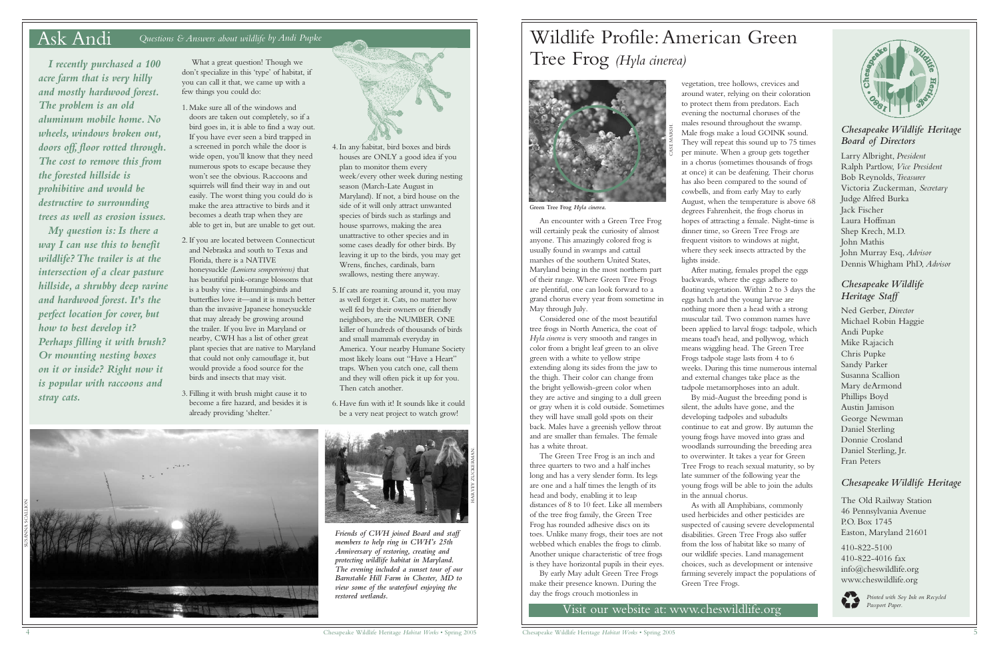#### *Chesapeake Wildlife Heritage Board of Directors*

Larry Albright, *President* Ralph Partlow, *Vice President* Bob Reynolds,*Treasurer* Victoria Zuckerman, *Secretary* Judge Alfred Burka Jack Fischer Laura Hoffman Shep Krech, M.D. John Mathis John Murray Esq, *Advisor* Dennis Whigham PhD, *Advisor*

#### *Chesapeake Wildlife Heritage Staff*

Ned Gerber, *Director* Michael Robin Haggie Andi Pupke Mike Rajacich Chris Pupke Sandy Parker Susanna Scallion Mary deArmond Phillips Boyd Austin Jamison George Newman Daniel Sterling Donnie Crosland Daniel Sterling, Jr. Fran Peters

#### *Chesapeake Wildlife Heritage*

The Old Railway Station 46 Pennsylvania Avenue P.O. Box 1745 Easton, Maryland 21601

410-822-5100 410-822-4016 fax info@cheswildlife.org www.cheswildlife.org

![](_page_2_Picture_38.jpeg)

![](_page_2_Picture_40.jpeg)

#### Ask Andi *Questions & Answers about wildlife by Andi Pupke*

What a great question! Though we don't specialize in this 'type' of habitat, if you can call it that, we came up with a few things you could do:

- 1. Make sure all of the windows and
- doors are taken out completely, so if a bird goes in, it is able to find a way out. If you have ever seen a bird trapped in a screened in porch while the door is wide open, you'll know that they need numerous spots to escape because they won't see the obvious. Raccoons and squirrels will find their way in and out easily. The worst thing you could do is make the area attractive to birds and it becomes a death trap when they are able to get in, but are unable to get out.
- 2. If you are located between Connecticut and Nebraska and south to Texas and Florida, there is a NATIVE honeysuckle *(Lonicera sempervirens)* that has beautiful pink-orange blossoms that is a bushy vine. Hummingbirds and butterflies love it—and it is much better than the invasive Japanese honeysuckle that may already be growing around the trailer. If you live in Maryland or nearby, CWH has a list of other great plant species that are native to Maryland that could not only camouflage it, but would provide a food source for the birds and insects that may visit.
- 3. Filling it with brush might cause it to become a fire hazard, and besides it is already providing 'shelter.'

*I recently purchased a 100 acre farm that is very hilly and mostly hardwood forest. The problem is an old aluminum mobile home. No wheels, windows broken out, doors off, floor rotted through. The cost to remove this from the forested hillside is prohibitive and would be destructive to surrounding trees as well as erosion issues.*

![](_page_2_Picture_12.jpeg)

*Friends of CWH joined Board and staff members to help ring in CWH's 25th Anniversary of restoring, creating and protecting wildlife habitat in Maryland. The evening included a sunset tour of our Barnstable Hill Farm in Chester, MD to view some of the waterfowl enjoying the restored wetlands.*

*My question is: Is there a way I can use this to benefit wildlife? The trailer is at the intersection of a clear pasture hillside, a shrubby deep ravine and hardwood forest. It's the perfect location for cover, but how to best develop it? Perhaps filling it with brush? Or mounting nesting boxes on it or inside? Right now it is popular with raccoons and stray cats.*

4. In any habitat, bird boxes and birds houses are ONLY a good idea if you plan to monitor them every week/every other week during nesting season (March-Late August in Maryland). If not, a bird house on the side of it will only attract unwanted species of birds such as starlings and house sparrows, making the area unattractive to other species and in some cases deadly for other birds. By leaving it up to the birds, you may get Wrens, finches, cardinals, barn

swallows, nesting there anyway.

5. If cats are roaming around it, you may as well forget it. Cats, no matter how well fed by their owners or friendly neighbors, are the NUMBER ONE killer of hundreds of thousands of birds and small mammals everyday in America. Your nearby Humane Society most likely loans out "Have a Heart" traps. When you catch one, call them and they will often pick it up for you. Then catch another.

6. Have fun with it! It sounds like it could be a very neat project to watch grow!

![](_page_2_Picture_11.jpeg)

![](_page_2_Picture_14.jpeg)

An encounter with a Green Tree Frog will certainly peak the curiosity of almost anyone. This amazingly colored frog is usually found in swamps and cattail marshes of the southern United States, Maryland being in the most northern part of their range. Where Green Tree Frogs are plentiful, one can look forward to a grand chorus every year from sometime in May through July.

Considered one of the most beautiful tree frogs in North America, the coat of *Hyla cinerea* is very smooth and ranges in color from a bright leaf green to an olive green with a white to yellow stripe extending along its sides from the jaw to the thigh. Their color can change from the bright yellowish-green color when they are active and singing to a dull green or gray when it is cold outside. Sometimes they will have small gold spots on their back. Males have a greenish yellow throat and are smaller than females. The female has a white throat.

The Green Tree Frog is an inch and three quarters to two and a half inches long and has a very slender form. Its legs are one and a half times the length of its head and body, enabling it to leap distances of 8 to 10 feet. Like all members of the tree frog family, the Green Tree Frog has rounded adhesive discs on its toes. Unlike many frogs, their toes are not webbed which enables the frogs to climb. Another unique characteristic of tree frogs is they have horizontal pupils in their eyes.

By early May adult Green Tree Frogs make their presence known. During the day the frogs crouch motionless in

**Printed with Soy Ink on Recycled**<br>Visit our website at: www.cheswildlife.org

vegetation, tree hollows, crevices and around water, relying on their coloration to protect them from predators. Each evening the nocturnal choruses of the males resound throughout the swamp. Male frogs make a loud GOINK sound. They will repeat this sound up to 75 times per minute. When a group gets together in a chorus (sometimes thousands of frogs at once) it can be deafening. Their chorus has also been compared to the sound of cowbells, and from early May to early August, when the temperature is above 68 degrees Fahrenheit, the frogs chorus in hopes of attracting a female. Night-time is dinner time, so Green Tree Frogs are frequent visitors to windows at night, where they seek insects attracted by the lights inside.

After mating, females propel the eggs backwards, where the eggs adhere to floating vegetation. Within 2 to 3 days the eggs hatch and the young larvae are nothing more then a head with a strong muscular tail. Two common names have been applied to larval frogs: tadpole, which means toad's head, and pollywog, which means wiggling head. The Green Tree Frogs tadpole stage lasts from 4 to 6 weeks. During this time numerous internal and external changes take place as the tadpole metamorphoses into an adult. By mid-August the breeding pond is silent, the adults have gone, and the developing tadpoles and subadults continue to eat and grow. By autumn the young frogs have moved into grass and woodlands surrounding the breeding area to overwinter. It takes a year for Green Tree Frogs to reach sexual maturity, so by late summer of the following year the young frogs will be able to join the adults in the annual chorus.

As with all Amphibians, commonly used herbicides and other pesticides are suspected of causing severe developmental disabilities. Green Tree Frogs also suffer from the loss of habitat like so many of our wildlife species. Land management choices, such as development or intensive farming severely impact the populations of Green Tree Frogs.

![](_page_2_Picture_30.jpeg)

![](_page_2_Picture_15.jpeg)

**Green Tree Frog** *Hyla cinerea.*

CASE MARSH.